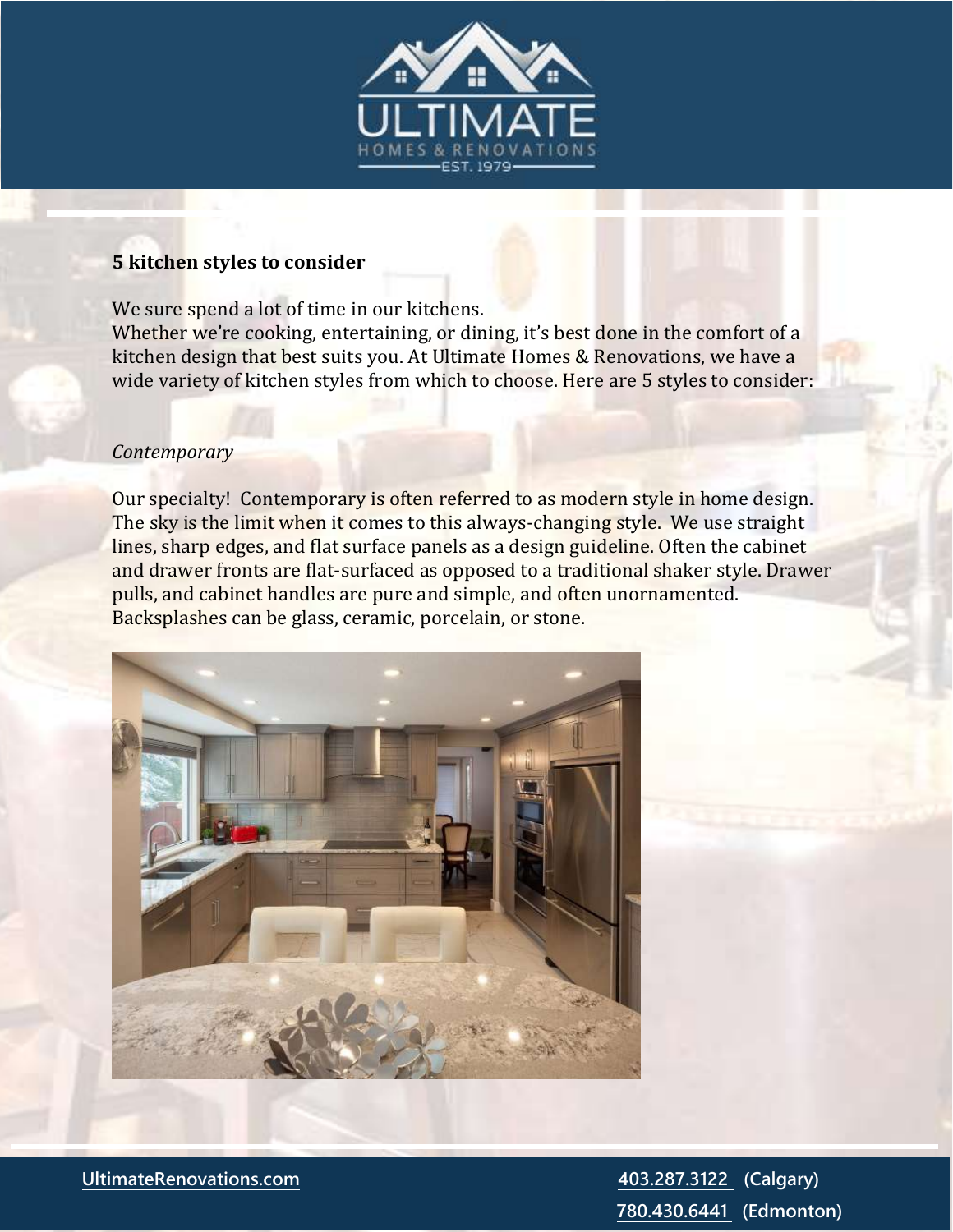

#### **5 kitchen styles to consider**

We sure spend a lot of time in our kitchens. Whether we're cooking, entertaining, or dining, it's best done in the comfort of a kitchen design that best suits you. At Ultimate Homes & Renovations, we have a wide variety of kitchen styles from which to choose. Here are 5 styles to consider:

#### *Contemporary*

Our specialty! Contemporary is often referred to as modern style in home design. The sky is the limit when it comes to this always-changing style. We use straight lines, sharp edges, and flat surface panels as a design guideline. Often the cabinet and drawer fronts are flat-surfaced as opposed to a traditional shaker style. Drawer pulls, and cabinet handles are pure and simple, and often unornamented. Backsplashes can be glass, ceramic, porcelain, or stone.



 **[780.430.6441](tel:(780)%20430-6441) (Edmonton)**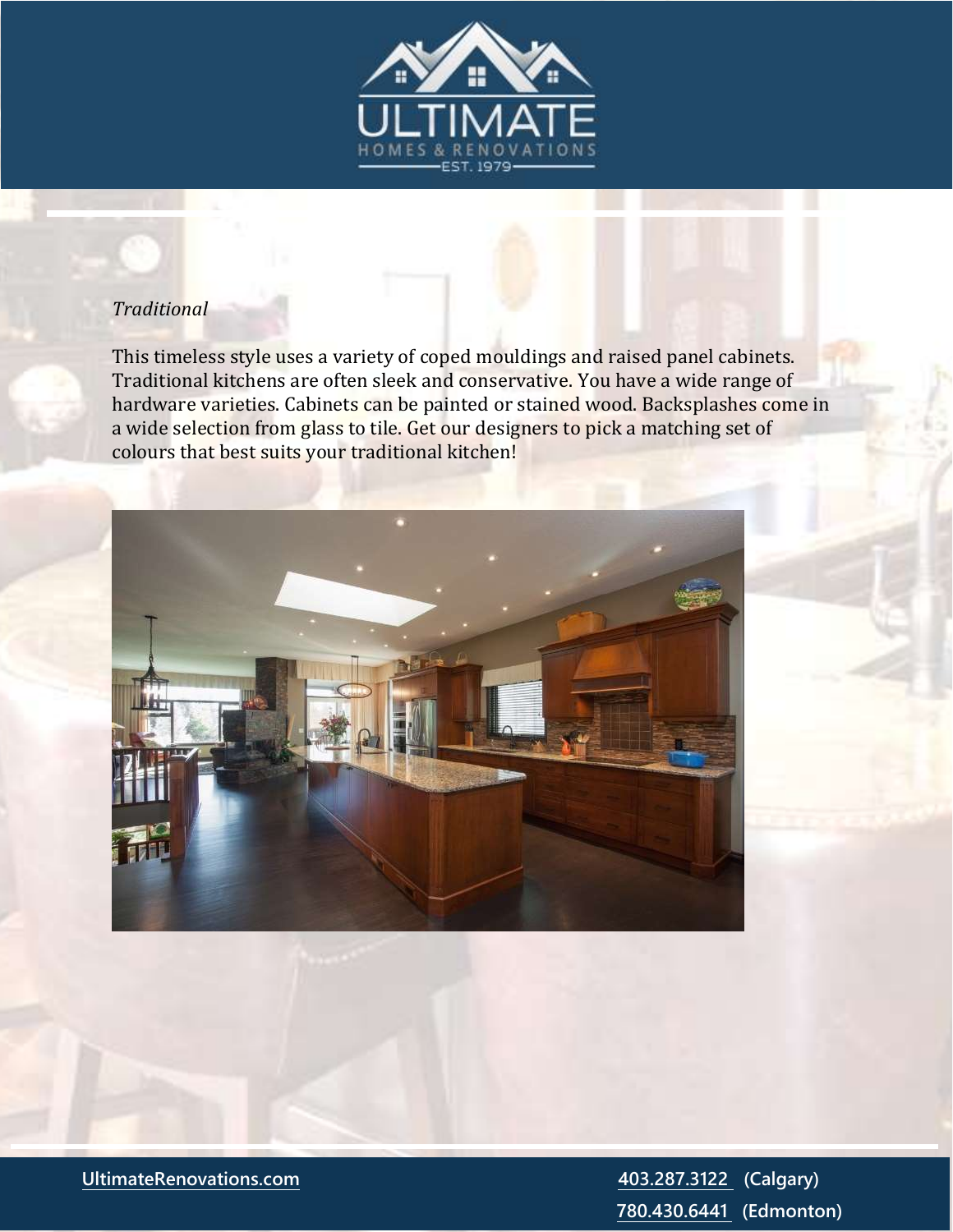

## *Traditional*

This timeless style uses a variety of coped mouldings and raised panel cabinets. Traditional kitchens are often sleek and conservative. You have a wide range of hardware varieties. Cabinets can be painted or stained wood. Backsplashes come in a wide selection from glass to tile. Get our designers to pick a matching set of colours that best suits your traditional kitchen!



**[UltimateRenovations.com](http://www.ultimaterenovations.com/) [403.287.3122](tel:(403)%20287-3122) (Calgary) [780.430.6441](tel:(780)%20430-6441) (Edmonton)**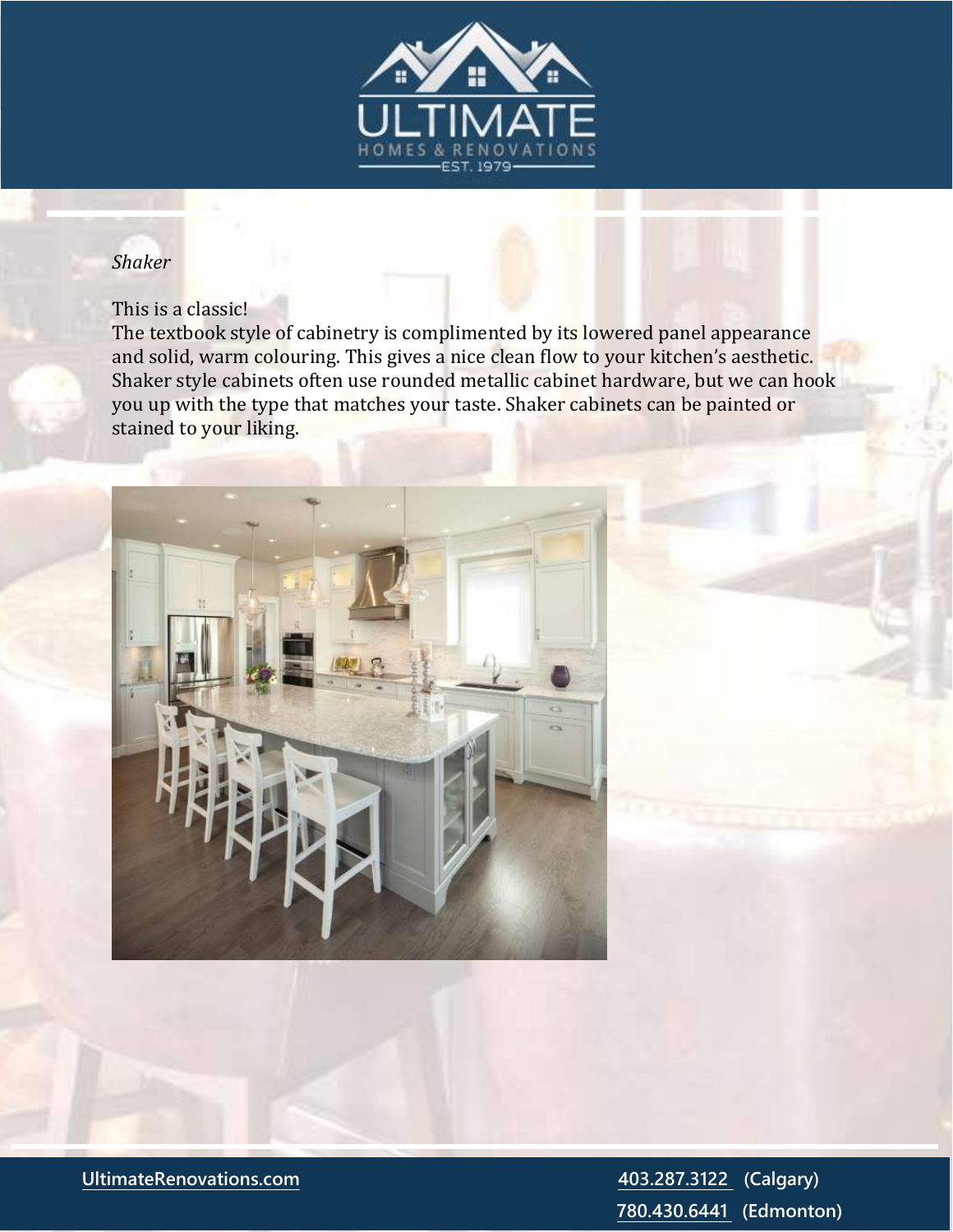

### *Shaker*

#### This is a classic!

The textbook style of cabinetry is complimented by its lowered panel appearance and solid, warm colouring. This gives a nice clean flow to your kitchen's aesthetic. Shaker style cabinets often use rounded metallic cabinet hardware, but we can hook you up with the type that matches your taste. Shaker cabinets can be painted or stained to your liking.



**[UltimateRenovations.com](http://www.ultimaterenovations.com/) [403.287.3122](tel:(403)%20287-3122) (Calgary) [780.430.6441](tel:(780)%20430-6441) (Edmonton)**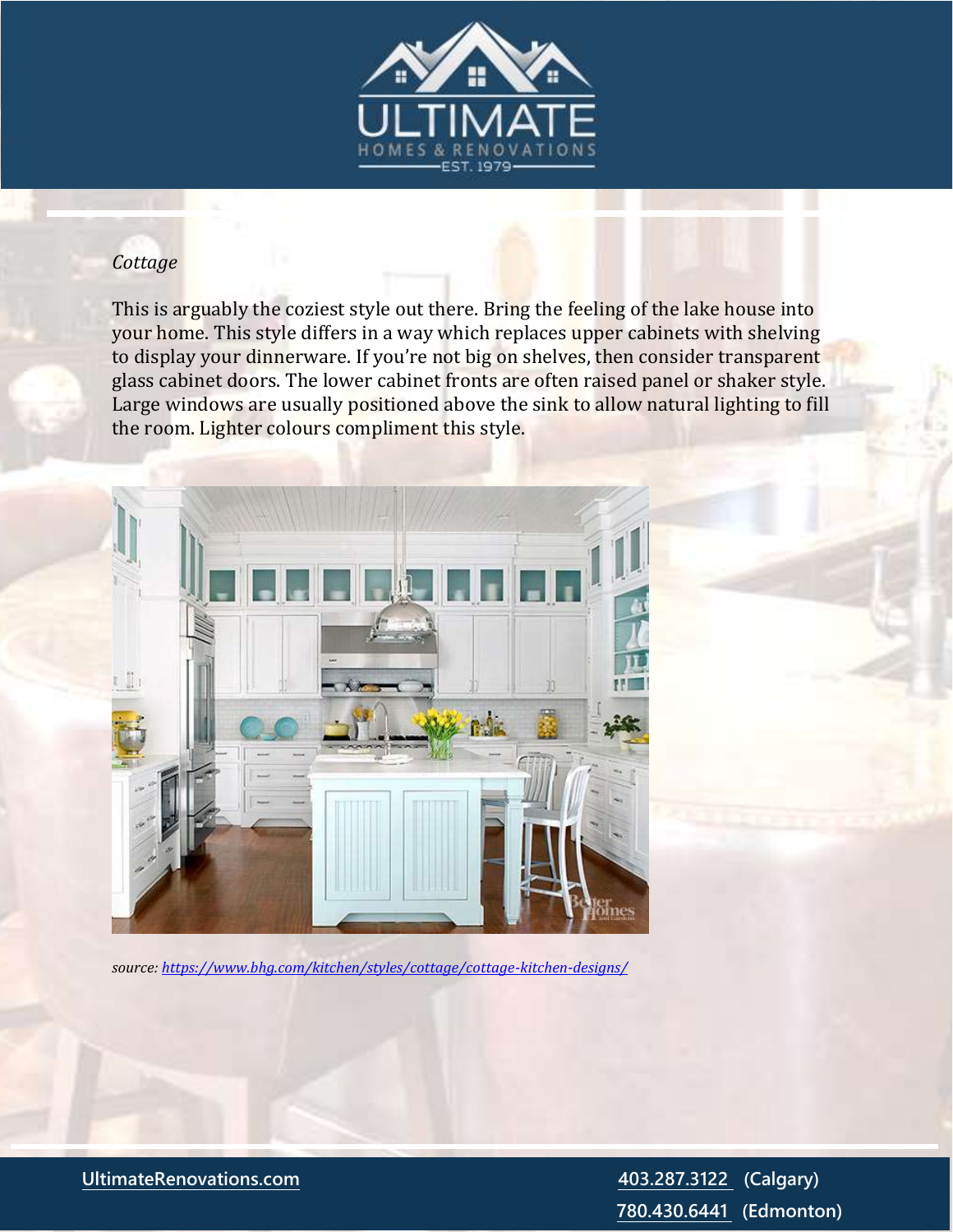

# *Cottage*

This is arguably the coziest style out there. Bring the feeling of the lake house into your home. This style differs in a way which replaces upper cabinets with shelving to display your dinnerware. If you're not big on shelves, then consider transparent glass cabinet doors. The lower cabinet fronts are often raised panel or shaker style. Large windows are usually positioned above the sink to allow natural lighting to fill the room. Lighter colours compliment this style.



*source:<https://www.bhg.com/kitchen/styles/cottage/cottage-kitchen-designs/>*

**[UltimateRenovations.com](http://www.ultimaterenovations.com/) [403.287.3122](tel:(403)%20287-3122) (Calgary)**

 **[780.430.6441](tel:(780)%20430-6441) (Edmonton)**